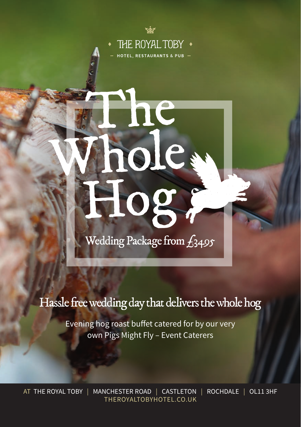

ne

nole

H

Wedding Package from  $f_{3495}$ 

og

## Hassle free wedding day that delivers the whole hog

Evening hog roast buffet catered for by our very own Pigs Might Fly – Event Caterers

AT THE ROYAL TOBY | MANCHESTER ROAD | CASTLETON | ROCHDALE | OL11 3HF THEROYALTOBYHOTEL.CO.UK